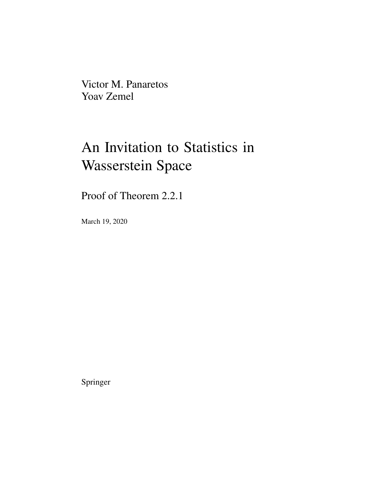Victor M. Panaretos Yoav Zemel

## An Invitation to Statistics in Wasserstein Space

Proof of Theorem 2.2.1

March 19, 2020

Springer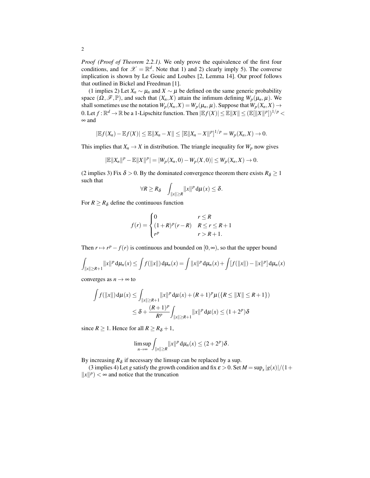*Proof (Proof of Theorem 2.2.1).* We only prove the equivalence of the first four conditions, and for  $\mathscr{X} = \mathbb{R}^d$ . Note that 1) and 2) clearly imply 5). The converse implication is shown by Le Gouic and Loubes [2, Lemma 14]. Our proof follows that outlined in Bickel and Freedman [1].

(1 implies 2) Let  $X_n \sim \mu_n$  and  $X \sim \mu$  be defined on the same generic probability space  $(\Omega, \mathcal{F}, \mathbb{P})$ , and such that  $(X_n, X)$  attain the infimum defining  $W_p(\mu_n, \mu)$ . We shall sometimes use the notation  $W_p(X_n, X) = W_p(\mu_n, \mu)$ . Suppose that  $W_p(X_n, X) \to$ 0. Let  $f: \mathbb{R}^d \to \mathbb{R}$  be a 1-Lipschitz function. Then  $|\mathbb{E} f(X)| \leq \mathbb{E} ||X|| \leq (|\mathbb{E}||X||^p|)^{1/p}$ ∞ and

$$
|\mathbb{E}f(X_n) - \mathbb{E}f(X)| \leq \mathbb{E}||X_n - X|| \leq [\mathbb{E}||X_n - X||^p]^{1/p} = W_p(X_n, X) \to 0.
$$

This implies that  $X_n \to X$  in distribution. The triangle inequality for  $W_p$  now gives

$$
|\mathbb{E}||X_n||^p - \mathbb{E}||X||^p| = |W_p(X_n,0) - W_p(X,0)| \le W_p(X_n,X) \to 0.
$$

(2 implies 3) Fix  $\delta > 0$ . By the dominated convergence theorem there exists  $R_{\delta} \ge 1$ such that

$$
\forall R \geq R_{\delta} \quad \int_{\|x\| \geq R} \|x\|^p \, \mathrm{d}\mu(x) \leq \delta.
$$

For  $R \ge R_\delta$  define the continuous function

$$
f(r) = \begin{cases} 0 & r \le R \\ (1+R)^p(r-R) & R \le r \le R+1 \\ r^p & r > R+1. \end{cases}
$$

Then  $r \mapsto r^p - f(r)$  is continuous and bounded on  $[0, \infty)$ , so that the upper bound

$$
\int_{\|x\| \ge R+1} \|x\|^p \, \mathrm{d}\mu_n(x) \le \int f(\|x\|) \, \mathrm{d}\mu_n(x) = \int \|x\|^p \, \mathrm{d}\mu_n(x) + \int [f(\|x\|) - \|x\|^p] \, \mathrm{d}\mu_n(x)
$$

converges as  $n \to \infty$  to

$$
\int f(\|x\|) d\mu(x) \le \int_{\|x\| \ge R+1} \|x\|^p d\mu(x) + (R+1)^p \mu(\{R \le \|X\| \le R+1\})
$$
  

$$
\le \delta + \frac{(R+1)^p}{R^p} \int_{\|x\| \ge R+1} \|x\|^p d\mu(x) \le (1+2^p)\delta
$$

since  $R \ge 1$ . Hence for all  $R \ge R_\delta + 1$ ,

$$
\limsup_{n\to\infty}\int_{\|x\|\geq R}\|x\|^p\,\mathrm{d}\mu_n(x)\leq (2+2^p)\delta.
$$

By increasing  $R_{\delta}$  if necessary the limsup can be replaced by a sup.

(3 implies 4) Let *g* satisfy the growth condition and fix  $\varepsilon > 0$ . Set  $M = \sup_x |g(x)|/(1 +$  $||x||^p$  <  $\infty$  and notice that the truncation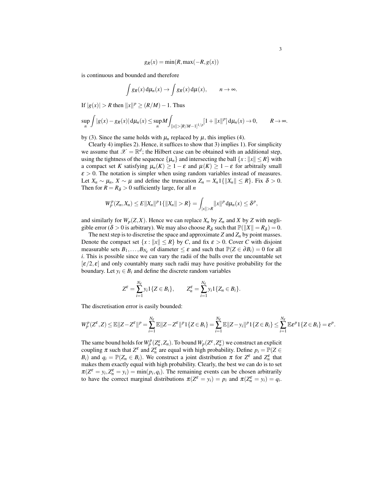$$
g_R(x) = \min(R, \max(-R, g(x))
$$

is continuous and bounded and therefore

$$
\int g_R(x) d\mu_n(x) \to \int g_R(x) d\mu(x), \qquad n \to \infty.
$$

*If*  $|g(x)| > R$  then  $||x||^p ≥ (R/M) - 1$ . Thus

$$
\sup_{n} \int |g(x) - g_{R}(x)| d\mu_{n}(x) \leq \sup_{n} M \int_{\|x\| > [R/M-1]^{1/p}} [1 + \|x\|^{p}] d\mu_{n}(x) \to 0, \qquad R \to \infty.
$$

by (3). Since the same holds with  $\mu_n$  replaced by  $\mu$ , this implies (4).

Clearly 4) implies 2). Hence, it suffices to show that 3) implies 1). For simplicity we assume that  $\mathscr{X} = \mathbb{R}^d$ ; the Hilbert case can be obtained with an additional step, using the tightness of the sequence  $\{\mu_n\}$  and intersecting the ball  $\{x : ||x|| \le R\}$  with a compact set *K* satisfying  $\mu_n(K) \geq 1 - \varepsilon$  and  $\mu(K) \geq 1 - \varepsilon$  for arbitraily small  $\epsilon > 0$ . The notation is simpler when using random variables instead of measures. Let  $X_n \sim \mu_n$ ,  $X \sim \mu$  and define the truncation  $Z_n = X_n 1\{\|X_n\| \le R\}$ . Fix  $\delta > 0$ . Then for  $R = R_{\delta} > 0$  sufficiently large, for all *n* 

$$
W_p^p(Z_n,X_n)\leq E\|X_n\|^p1\{\|X_n\|>R\}=\int_{|x||>R}\|x\|^p\,\mathrm{d}\mu_n(x)\leq \delta^p,
$$

and similarly for  $W_p(Z, X)$ . Hence we can replace  $X_n$  by  $Z_n$  and  $X$  by  $Z$  with negligible error ( $\delta > 0$  is arbitrary). We may also choose  $R_{\delta}$  such that  $\mathbb{P}(\Vert X \Vert = R_{\delta}) = 0$ .

The next step is to discretise the space and approximate  $Z$  and  $Z_n$  by point masses. Denote the compact set  $\{x : ||x|| \le R\}$  by *C*, and fix  $\varepsilon > 0$ . Cover *C* with disjoint measurable sets  $B_1, \ldots, B_{N_\varepsilon}$  of diameter  $\leq \varepsilon$  and such that  $\mathbb{P}(Z \in \partial B_i) = 0$  for all *i*. This is possible since we can vary the radii of the balls over the uncountable set  $[\varepsilon/2, \varepsilon]$  and only countably many such radii may have positive probability for the boundary. Let  $y_i \in B_i$  and define the discrete random variables

$$
Z^{\varepsilon} = \sum_{i=1}^{N_{\varepsilon}} y_i 1\{Z \in B_i\}, \qquad Z_n^{\varepsilon} = \sum_{i=1}^{N_{\varepsilon}} y_i 1\{Z_n \in B_i\}.
$$

The discretisation error is easily bounded:

$$
W_p^p(Z^{\varepsilon},Z)\leq \mathbb{E}||Z-Z^{\varepsilon}||^p=\sum_{i=1}^{N_{\varepsilon}}\mathbb{E}||Z-Z^{\varepsilon}||^p1\{Z\in B_i\}=\sum_{i=1}^{N_{\varepsilon}}\mathbb{E}||Z-y_i||^p1\{Z\in B_i\}\leq \sum_{i=1}^{N_{\varepsilon}}\mathbb{E}\varepsilon^p1\{Z\in B_i\}=\varepsilon^p.
$$

The same bound holds for  $W_p^p(\mathcal{Z}_n^{\varepsilon},Z_n)$ . To bound  $W_p(\mathcal{Z}^{\varepsilon},\mathcal{Z}_n^{\varepsilon})$  we construct an explicit coupling  $\pi$  such that  $Z^{\varepsilon}$  and  $Z^{\varepsilon}$  are equal with high probability. Define  $p_i = \mathbb{P}(Z \in$ *B*<sub>*i*</sub>) and  $q_i = \mathbb{P}(Z_n \in B_i)$ . We construct a joint distribution  $\pi$  for  $Z^{\varepsilon}$  and  $Z^{\varepsilon}$  that makes them exactly equal with high probability. Clearly, the best we can do is to set  $\pi(Z^{\varepsilon} = y_i, Z^{\varepsilon}_n = y_i) = \min(p_i, q_i)$ . The remaining events can be chosen arbitrarily to have the correct marginal distributions  $\pi(Z^{\varepsilon} = y_i) = p_i$  and  $\pi(Z_n^{\varepsilon} = y_i) = q_i$ .